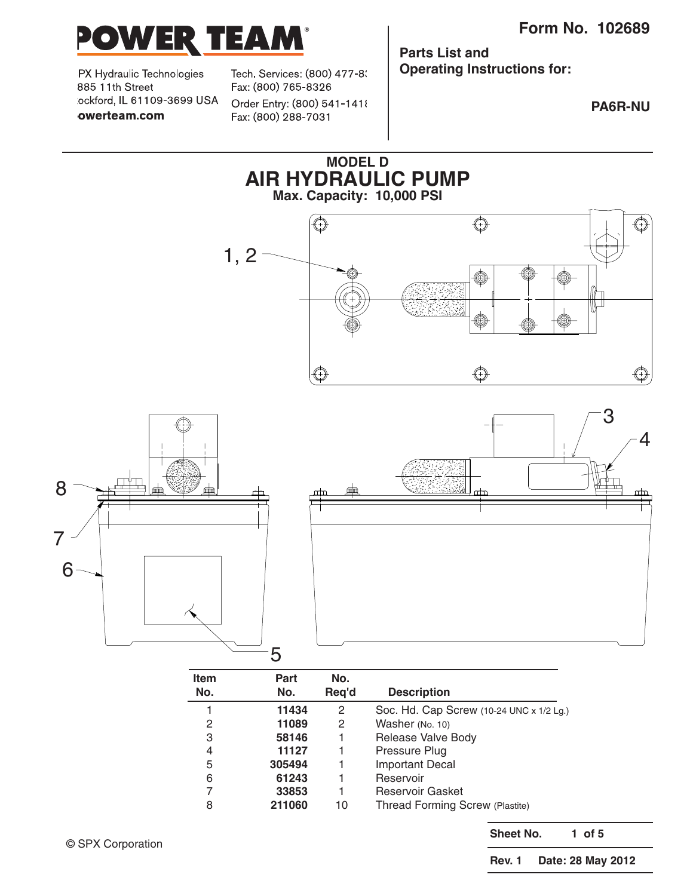

PX Hydraulic Technologies 885 11th Street lockford, IL 61109-3699 USA owerteam.com

Tech. Services: (800) 477-8( Fax: (800) 765-8326 Order Entry: (800) 541-1418 Fax: (800) 288-7031

**Parts List and Operating Instructions for:**

**PA6R-NU**



© SPX Corporation

**Sheet No. 1 of 5**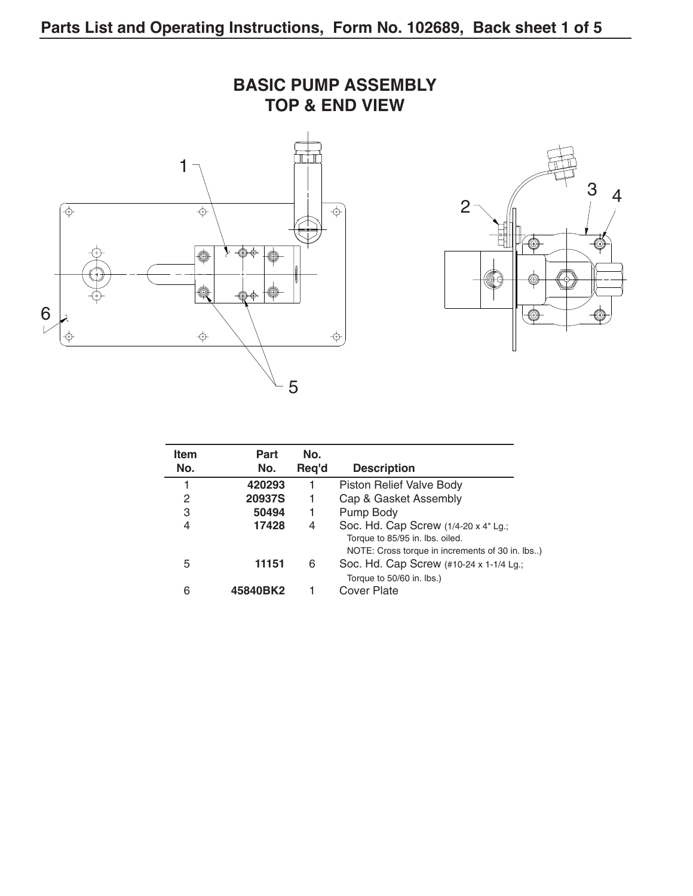

| <b>Item</b><br>No. | Part<br>No. | No.<br>Reg'd | <b>Description</b>                                                                                                         |
|--------------------|-------------|--------------|----------------------------------------------------------------------------------------------------------------------------|
|                    | 420293      |              | Piston Relief Valve Body                                                                                                   |
| 2                  | 20937S      | 1            | Cap & Gasket Assembly                                                                                                      |
| 3                  | 50494       | 1            | Pump Body                                                                                                                  |
| 4                  | 17428       | 4            | Soc. Hd. Cap Screw (1/4-20 x 4" Lg.;<br>Torque to 85/95 in. lbs. oiled.<br>NOTE: Cross torque in increments of 30 in. lbs) |
| 5                  | 11151       | 6            | Soc. Hd. Cap Screw (#10-24 x 1-1/4 Lg.;<br>Torque to 50/60 in. lbs.)                                                       |
| 6                  | 45840BK2    |              | Cover Plate                                                                                                                |

# **BASIC PUMP ASSEMBLY**

3 4

⊙

←◎

◎

∖♦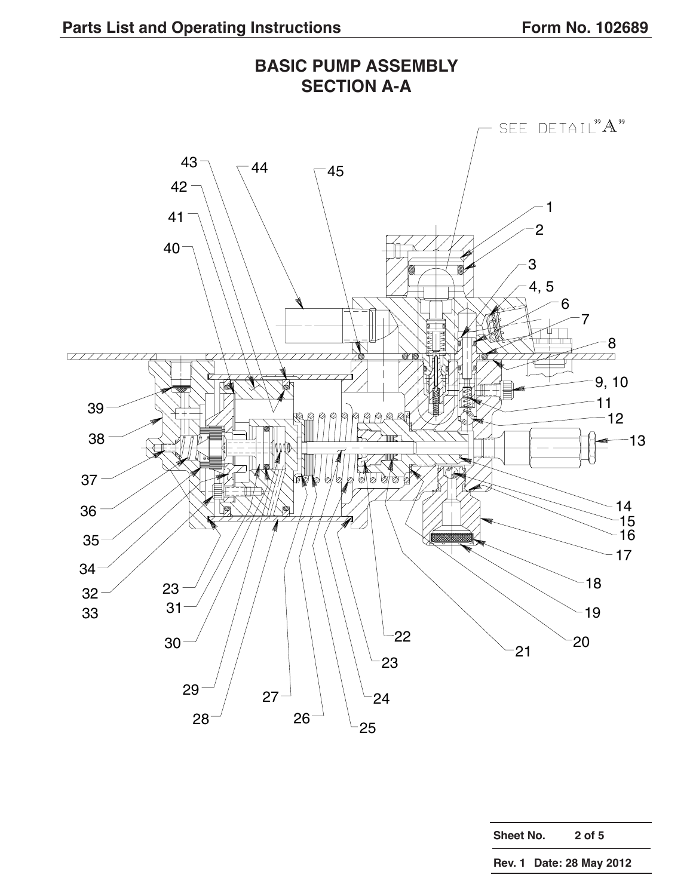

**Sheet No. 2 of 5**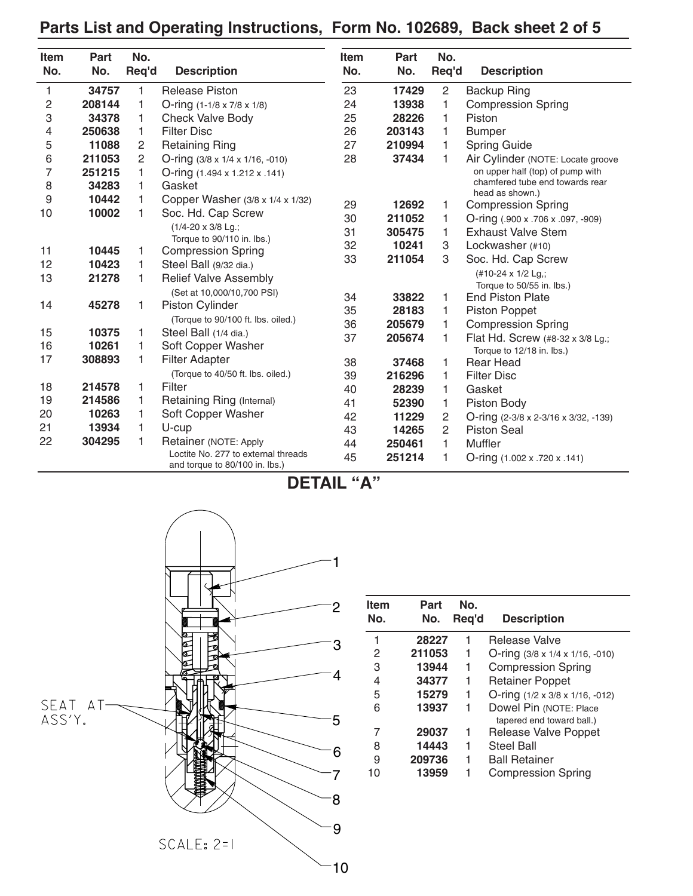# **Parts List and Operating Instructions, Form No. 102689, Back sheet 2 of 5**

| <b>Item</b><br>No. | Part<br>No. | No.<br>Req'd   | <b>Description</b>                                                    | <b>Item</b><br>No. | Part<br>No. | No.<br>Req'd   | <b>Description</b>                           |
|--------------------|-------------|----------------|-----------------------------------------------------------------------|--------------------|-------------|----------------|----------------------------------------------|
| 1                  | 34757       | 1.             | <b>Release Piston</b>                                                 | 23                 | 17429       | $\overline{c}$ | <b>Backup Ring</b>                           |
| 2                  | 208144      | 1              | O-ring $(1-1/8 \times 7/8 \times 1/8)$                                | 24                 | 13938       | 1              | <b>Compression Spring</b>                    |
| 3                  | 34378       | 1              | Check Valve Body                                                      | 25                 | 28226       | 1              | Piston                                       |
| 4                  | 250638      | 1.             | <b>Filter Disc</b>                                                    | 26                 | 203143      | 1              | <b>Bumper</b>                                |
| 5                  | 11088       | 2              | <b>Retaining Ring</b>                                                 | 27                 | 210994      | 1              | Spring Guide                                 |
| 6                  | 211053      | $\overline{c}$ | O-ring $(3/8 \times 1/4 \times 1/16, -010)$                           | 28                 | 37434       | 1              | Air Cylinder (NOTE: Locate groove            |
| $\overline{7}$     | 251215      | 1              | O-ring (1.494 x 1.212 x .141)                                         |                    |             |                | on upper half (top) of pump with             |
| 8                  | 34283       | 1              | Gasket                                                                |                    |             |                | chamfered tube end towards rear              |
| 9                  | 10442       |                | Copper Washer (3/8 x 1/4 x 1/32)                                      | 29                 | 12692       | 1              | head as shown.)<br><b>Compression Spring</b> |
| 10                 | 10002       | 1              | Soc. Hd. Cap Screw                                                    | 30                 | 211052      | 1              | O-ring (.900 x .706 x .097, -909)            |
|                    |             |                | (1/4-20 x 3/8 Lg.;                                                    | 31                 | 305475      | 1              | <b>Exhaust Valve Stem</b>                    |
|                    |             |                | Torque to 90/110 in. lbs.)                                            | 32                 | 10241       | 3              | Lockwasher (#10)                             |
| 11                 | 10445       | 1              | <b>Compression Spring</b>                                             | 33                 | 211054      | 3              | Soc. Hd. Cap Screw                           |
| 12                 | 10423       | 1              | Steel Ball (9/32 dia.)                                                |                    |             |                | (#10-24 x 1/2 Lg,;                           |
| 13                 | 21278       | 1              | <b>Relief Valve Assembly</b>                                          |                    |             |                | Torque to 50/55 in. lbs.)                    |
|                    |             |                | (Set at 10,000/10,700 PSI)                                            | 34                 | 33822       | 1              | <b>End Piston Plate</b>                      |
| 14                 | 45278       | 1              | <b>Piston Cylinder</b>                                                | 35                 | 28183       | 1              | Piston Poppet                                |
|                    |             |                | (Torque to 90/100 ft. lbs. oiled.)                                    | 36                 | 205679      | 1              | <b>Compression Spring</b>                    |
| 15                 | 10375       | 1              | Steel Ball (1/4 dia.)                                                 | 37                 | 205674      | 1              | Flat Hd. Screw (#8-32 x 3/8 Lg.;             |
| 16                 | 10261       | 1              | Soft Copper Washer                                                    |                    |             |                | Torque to 12/18 in. lbs.)                    |
| 17                 | 308893      | 1              | <b>Filter Adapter</b>                                                 | 38                 | 37468       | 1              | <b>Rear Head</b>                             |
|                    |             |                | (Torque to 40/50 ft. lbs. oiled.)                                     | 39                 | 216296      | 1              | <b>Filter Disc</b>                           |
| 18                 | 214578      | 1              | Filter                                                                | 40                 | 28239       | 1              | Gasket                                       |
| 19                 | 214586      | 1              | Retaining Ring (Internal)                                             | 41                 | 52390       | 1              | Piston Body                                  |
| 20                 | 10263       | 1              | Soft Copper Washer                                                    | 42                 | 11229       | $\overline{c}$ | O-ring (2-3/8 x 2-3/16 x 3/32, -139)         |
| 21                 | 13934       | 1              | U-cup                                                                 | 43                 | 14265       | $\overline{2}$ | <b>Piston Seal</b>                           |
| 22                 | 304295      | 1              | Retainer (NOTE: Apply                                                 | 44                 | 250461      | 1              | Muffler                                      |
|                    |             |                | Loctite No. 277 to external threads<br>and torque to 80/100 in. lbs.) | 45                 | 251214      | 1              | O-ring $(1.002 \times .720 \times .141)$     |

**DETAIL "A"**



| <b>Item</b><br>No. | Part<br>No. | No.<br>Reg'd | <b>Description</b>                          |
|--------------------|-------------|--------------|---------------------------------------------|
| 1                  | 28227       | 1            | Release Valve                               |
| 2                  | 211053      | 1            | O-ring $(3/8 \times 1/4 \times 1/16, -010)$ |
| 3                  | 13944       | 1            | <b>Compression Spring</b>                   |
| 4                  | 34377       | 1            | <b>Retainer Poppet</b>                      |
| 5                  | 15279       | 1            | O-ring (1/2 x 3/8 x 1/16, -012)             |
| 6                  | 13937       |              | Dowel Pin (NOTE: Place                      |
|                    |             |              | tapered end toward ball.)                   |
| 7                  | 29037       | 1            | Release Valve Poppet                        |
| 8                  | 14443       | 1            | <b>Steel Ball</b>                           |
| 9                  | 209736      | 1            | <b>Ball Retainer</b>                        |
| 10                 | 13959       |              | <b>Compression Spring</b>                   |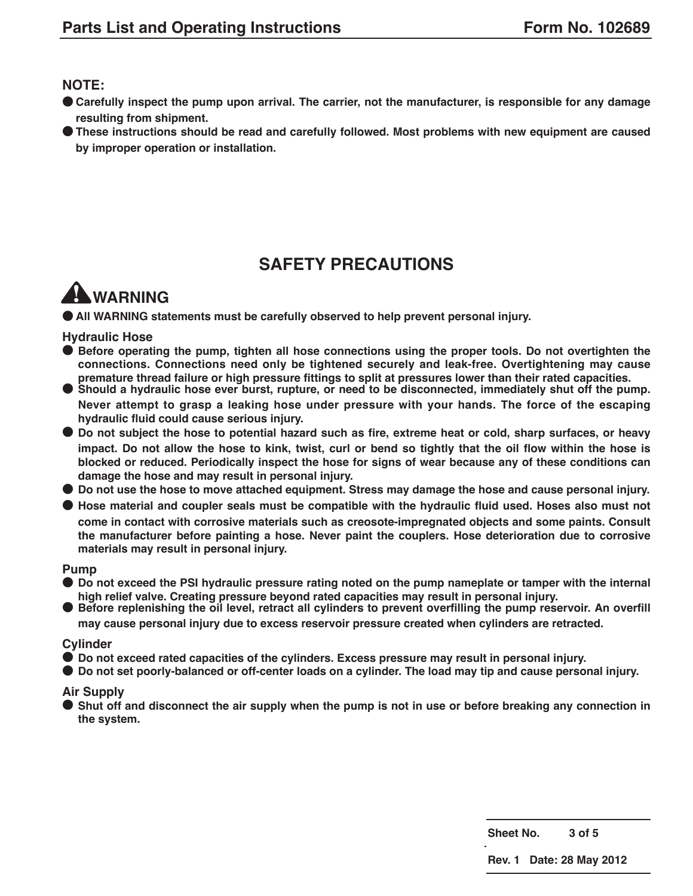#### **NOTE:**

- Carefully inspect the pump upon arrival. The carrier, not the manufacturer, is responsible for any damage **resulting from shipment.**
- **● These instructions should be read and carefully followed. Most problems with new equipment are caused by improper operation or installation.**

## **SAFETY PRECAUTIONS**

# **WARNING**

**● All WARNING statements must be carefully observed to help prevent personal injury.**

#### **Hydraulic Hose**

- **● Before operating the pump, tighten all hose connections using the proper tools. Do not overtighten the connections. Connections need only be tightened securely and leak-free. Overtightening may cause**
- Should a hydraulic hose ever burst, rupture, or need to be disconnected, immediately shut off the pump. **Never attempt to grasp a leaking hose under pressure with your hands. The force of the escaping hydraulic fluid could cause serious injury.**
- Do not subject the hose to potential hazard such as fire, extreme heat or cold, sharp surfaces, or heavy impact. Do not allow the hose to kink, twist, curl or bend so tightly that the oil flow within the hose is **blocked or reduced. Periodically inspect the hose for signs of wear because any of these conditions can damage the hose and may result in personal injury.**
- Do not use the hose to move attached equipment. Stress may damage the hose and cause personal injury.
- Hose material and coupler seals must be compatible with the hydraulic fluid used. Hoses also must not **come in contact with corrosive materials such as creosote-impregnated objects and some paints. Consult the manufacturer before painting a hose. Never paint the couplers. Hose deterioration due to corrosive materials may result in personal injury.**

#### **Pump**

- Do not exceed the PSI hydraulic pressure rating noted on the pump nameplate or tamper with the internal high high relief valve. Creating pressure bevond rated capacities may result in personal injury.
- Before replenishing the oil level, retract all cylinders to prevent overfilling the pump reservoir. An overfill

**may cause personal injury due to excess reservoir pressure created when cylinders are retracted.**

#### **Cylinder**

- **● Do not exceed rated capacities of the cylinders. Excess pressure may result in personal injury.**
- Do not set poorly-balanced or off-center loads on a cylinder. The load may tip and cause personal injury.

#### **Air Supply**

Shut off and disconnect the air supply when the pump is not in use or before breaking any connection in **the system.**

**Sheet No. 3 of 5**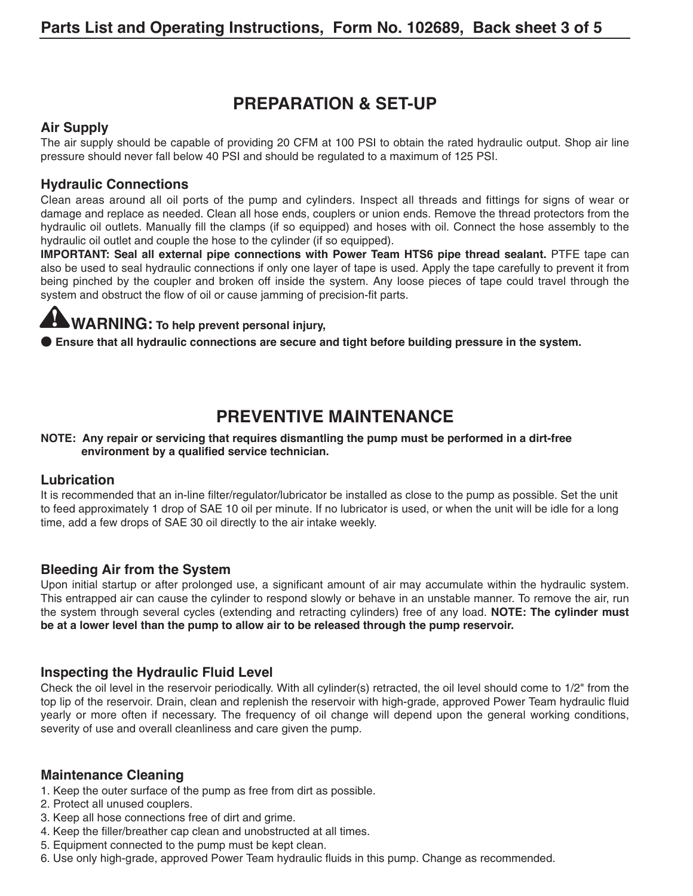## **PREPARATION & SET-UP**

#### **Air Supply**

The air supply should be capable of providing 20 CFM at 100 PSI to obtain the rated hydraulic output. Shop air line pressure should never fall below 40 PSI and should be regulated to a maximum of 125 PSI.

#### **Hydraulic Connections**

Clean areas around all oil ports of the pump and cylinders. Inspect all threads and fittings for signs of wear or damage and replace as needed. Clean all hose ends, couplers or union ends. Remove the thread protectors from the hydraulic oil outlets. Manually fill the clamps (if so equipped) and hoses with oil. Connect the hose assembly to the hydraulic oil outlet and couple the hose to the cylinder (if so equipped).

**IMPORTANT: Seal all external pipe connections with Power Team HTS6 pipe thread sealant.** PTFE tape can also be used to seal hydraulic connections if only one layer of tape is used. Apply the tape carefully to prevent it from being pinched by the coupler and broken off inside the system. Any loose pieces of tape could travel through the system and obstruct the flow of oil or cause jamming of precision-fit parts.

# **WARNING: To help prevent personal injury,**

**● Ensure that all hydraulic connections are secure and tight before building pressure in the system.**

# **PREVENTIVE MAINTENANCE**

#### **NOTE: Any repair or servicing that requires dismantling the pump must be performed in a dirt-free environment by a qualified service technician.**

#### **Lubrication**

It is recommended that an in-line filter/regulator/lubricator be installed as close to the pump as possible. Set the unit to feed approximately 1 drop of SAE 10 oil per minute. If no lubricator is used, or when the unit will be idle for a long time, add a few drops of SAE 30 oil directly to the air intake weekly.

#### **Bleeding Air from the System**

Upon initial startup or after prolonged use, a significant amount of air may accumulate within the hydraulic system. This entrapped air can cause the cylinder to respond slowly or behave in an unstable manner. To remove the air, run the system through several cycles (extending and retracting cylinders) free of any load. **NOTE: The cylinder must be at a lower level than the pump to allow air to be released through the pump reservoir.**

#### **Inspecting the Hydraulic Fluid Level**

Check the oil level in the reservoir periodically. With all cylinder(s) retracted, the oil level should come to 1/2" from the top lip of the reservoir. Drain, clean and replenish the reservoir with high-grade, approved Power Team hydraulic fluid yearly or more often if necessary. The frequency of oil change will depend upon the general working conditions, severity of use and overall cleanliness and care given the pump.

#### **Maintenance Cleaning**

- 1. Keep the outer surface of the pump as free from dirt as possible.
- 2. Protect all unused couplers.
- 3. Keep all hose connections free of dirt and grime.
- 4. Keep the filler/breather cap clean and unobstructed at all times.
- 5. Equipment connected to the pump must be kept clean.
- 6. Use only high-grade, approved Power Team hydraulic fluids in this pump. Change as recommended.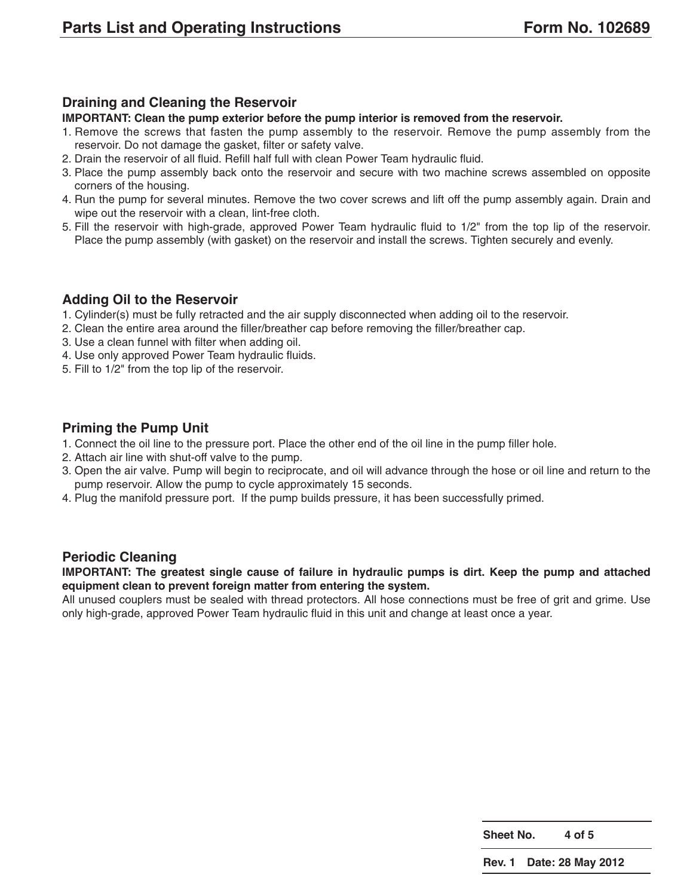#### **Draining and Cleaning the Reservoir**

#### **IMPORTANT: Clean the pump exterior before the pump interior is removed from the reservoir.**

- 1. Remove the screws that fasten the pump assembly to the reservoir. Remove the pump assembly from the reservoir. Do not damage the gasket, filter or safety valve.
- 2. Drain the reservoir of all fluid. Refill half full with clean Power Team hydraulic fluid.
- 3. Place the pump assembly back onto the reservoir and secure with two machine screws assembled on opposite corners of the housing.
- 4. Run the pump for several minutes. Remove the two cover screws and lift off the pump assembly again. Drain and wipe out the reservoir with a clean, lint-free cloth.
- 5. Fill the reservoir with high-grade, approved Power Team hydraulic fluid to 1/2" from the top lip of the reservoir. Place the pump assembly (with gasket) on the reservoir and install the screws. Tighten securely and evenly.

#### **Adding Oil to the Reservoir**

- 1. Cylinder(s) must be fully retracted and the air supply disconnected when adding oil to the reservoir.
- 2. Clean the entire area around the filler/breather cap before removing the filler/breather cap.
- 3. Use a clean funnel with filter when adding oil.
- 4. Use only approved Power Team hydraulic fluids.
- 5. Fill to 1/2" from the top lip of the reservoir.

#### **Priming the Pump Unit**

- 1. Connect the oil line to the pressure port. Place the other end of the oil line in the pump filler hole.
- 2. Attach air line with shut-off valve to the pump.
- 3. Open the air valve. Pump will begin to reciprocate, and oil will advance through the hose or oil line and return to the pump reservoir. Allow the pump to cycle approximately 15 seconds.
- 4. Plug the manifold pressure port. If the pump builds pressure, it has been successfully primed.

#### **Periodic Cleaning**

**IMPORTANT: The greatest single cause of failure in hydraulic pumps is dirt. Keep the pump and attached equipment clean to prevent foreign matter from entering the system.**

All unused couplers must be sealed with thread protectors. All hose connections must be free of grit and grime. Use only high-grade, approved Power Team hydraulic fluid in this unit and change at least once a year.

**Sheet No. 4 of 5**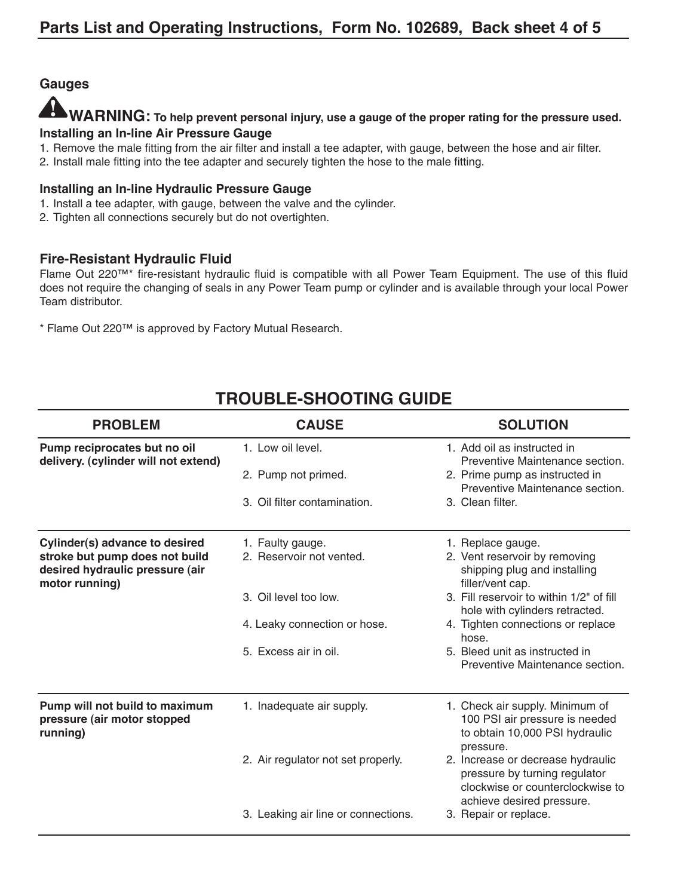#### **Gauges**

### **WARNING: To help prevent personal injury, use a gauge of the proper rating for the pressure used. Installing an In-line Air Pressure Gauge**

- 1. Remove the male fitting from the air filter and install a tee adapter, with gauge, between the hose and air filter.
- 2. Install male fitting into the tee adapter and securely tighten the hose to the male fitting.

#### **Installing an In-line Hydraulic Pressure Gauge**

- 1. Install a tee adapter, with gauge, between the valve and the cylinder.
- 2. Tighten all connections securely but do not overtighten.

#### **Fire-Resistant Hydraulic Fluid**

Flame Out 220™\* fire-resistant hydraulic fluid is compatible with all Power Team Equipment. The use of this fluid does not require the changing of seals in any Power Team pump or cylinder and is available through your local Power Team distributor.

\* Flame Out 220™ is approved by Factory Mutual Research.

| <b>CAUSE</b><br><b>PROBLEM</b>                                                      |                                     | <b>SOLUTION</b>                                                                                                                     |  |  |
|-------------------------------------------------------------------------------------|-------------------------------------|-------------------------------------------------------------------------------------------------------------------------------------|--|--|
| Pump reciprocates but no oil<br>delivery. (cylinder will not extend)                | 1. Low oil level.                   | 1. Add oil as instructed in<br>Preventive Maintenance section.                                                                      |  |  |
|                                                                                     | 2. Pump not primed.                 | 2. Prime pump as instructed in<br>Preventive Maintenance section.                                                                   |  |  |
|                                                                                     | 3. Oil filter contamination.        | 3. Clean filter.                                                                                                                    |  |  |
| Cylinder(s) advance to desired                                                      | 1. Faulty gauge.                    | 1. Replace gauge.                                                                                                                   |  |  |
| stroke but pump does not build<br>desired hydraulic pressure (air<br>motor running) | 2. Reservoir not vented.            | 2. Vent reservoir by removing<br>shipping plug and installing<br>filler/vent cap.                                                   |  |  |
|                                                                                     | 3. Oil level too low.               | 3. Fill reservoir to within 1/2" of fill<br>hole with cylinders retracted.                                                          |  |  |
|                                                                                     | 4. Leaky connection or hose.        | 4. Tighten connections or replace<br>hose.                                                                                          |  |  |
|                                                                                     | 5. Excess air in oil.               | 5. Bleed unit as instructed in<br>Preventive Maintenance section.                                                                   |  |  |
| Pump will not build to maximum<br>pressure (air motor stopped<br>running)           | 1. Inadequate air supply.           | 1. Check air supply. Minimum of<br>100 PSI air pressure is needed<br>to obtain 10,000 PSI hydraulic<br>pressure.                    |  |  |
|                                                                                     | 2. Air regulator not set properly.  | 2. Increase or decrease hydraulic<br>pressure by turning regulator<br>clockwise or counterclockwise to<br>achieve desired pressure. |  |  |
|                                                                                     | 3. Leaking air line or connections. | 3. Repair or replace.                                                                                                               |  |  |

# **TROUBLE-SHOOTING GUIDE**